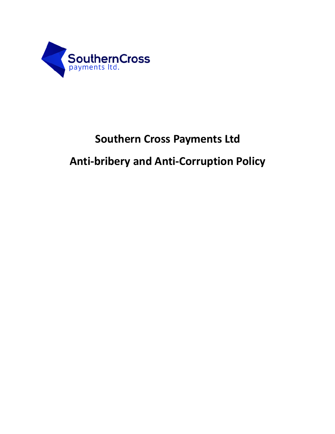

# **Southern Cross Payments Ltd**

# **Anti-bribery and Anti-Corruption Policy**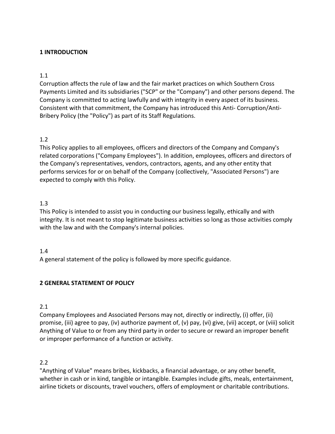# **1 INTRODUCTION**

## 1.1

Corruption affects the rule of law and the fair market practices on which Southern Cross Payments Limited and its subsidiaries ("SCP" or the "Company") and other persons depend. The Company is committed to acting lawfully and with integrity in every aspect of its business. Consistent with that commitment, the Company has introduced this Anti- Corruption/Anti-Bribery Policy (the "Policy") as part of its Staff Regulations.

# 1.2

This Policy applies to all employees, officers and directors of the Company and Company's related corporations ("Company Employees"). In addition, employees, officers and directors of the Company's representatives, vendors, contractors, agents, and any other entity that performs services for or on behalf of the Company (collectively, "Associated Persons") are expected to comply with this Policy.

## 1.3

This Policy is intended to assist you in conducting our business legally, ethically and with integrity. It is not meant to stop legitimate business activities so long as those activities comply with the law and with the Company's internal policies.

## 1.4

A general statement of the policy is followed by more specific guidance.

# **2 GENERAL STATEMENT OF POLICY**

# 2.1

Company Employees and Associated Persons may not, directly or indirectly, (i) offer, (ii) promise, (iii) agree to pay, (iv) authorize payment of, (v) pay, (vi) give, (vii) accept, or (viii) solicit Anything of Value to or from any third party in order to secure or reward an improper benefit or improper performance of a function or activity.

## 2.2

"Anything of Value" means bribes, kickbacks, a financial advantage, or any other benefit, whether in cash or in kind, tangible or intangible. Examples include gifts, meals, entertainment, airline tickets or discounts, travel vouchers, offers of employment or charitable contributions.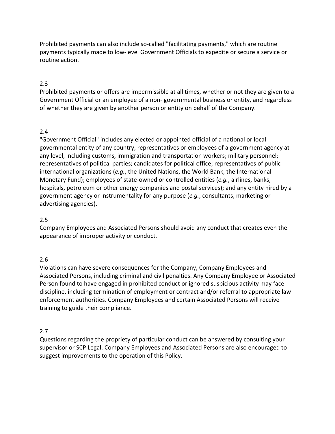Prohibited payments can also include so-called "facilitating payments," which are routine payments typically made to low-level Government Officials to expedite or secure a service or routine action.

## 2.3

Prohibited payments or offers are impermissible at all times, whether or not they are given to a Government Official or an employee of a non- governmental business or entity, and regardless of whether they are given by another person or entity on behalf of the Company.

## 2.4

"Government Official" includes any elected or appointed official of a national or local governmental entity of any country; representatives or employees of a government agency at any level, including customs, immigration and transportation workers; military personnel; representatives of political parties; candidates for political office; representatives of public international organizations (*e.g.*, the United Nations, the World Bank, the International Monetary Fund); employees of state-owned or controlled entities (*e.g.*, airlines, banks, hospitals, petroleum or other energy companies and postal services); and any entity hired by a government agency or instrumentality for any purpose (*e.g.*, consultants, marketing or advertising agencies).

## 2.5

Company Employees and Associated Persons should avoid any conduct that creates even the appearance of improper activity or conduct.

## 2.6

Violations can have severe consequences for the Company, Company Employees and Associated Persons, including criminal and civil penalties. Any Company Employee or Associated Person found to have engaged in prohibited conduct or ignored suspicious activity may face discipline, including termination of employment or contract and/or referral to appropriate law enforcement authorities. Company Employees and certain Associated Persons will receive training to guide their compliance.

## 2.7

Questions regarding the propriety of particular conduct can be answered by consulting your supervisor or SCP Legal. Company Employees and Associated Persons are also encouraged to suggest improvements to the operation of this Policy.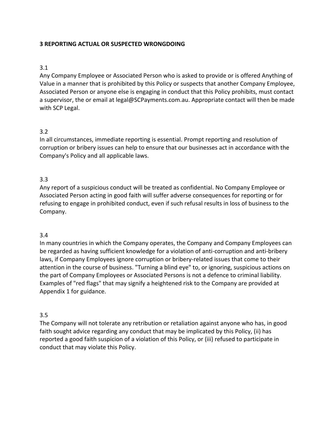# **3 REPORTING ACTUAL OR SUSPECTED WRONGDOING**

## 3.1

Any Company Employee or Associated Person who is asked to provide or is offered Anything of Value in a manner that is prohibited by this Policy or suspects that another Company Employee, Associated Person or anyone else is engaging in conduct that this Policy prohibits, must contact a supervisor, the or email at legal@SCPayments.com.au. Appropriate contact will then be made with SCP Legal.

## 3.2

In all circumstances, immediate reporting is essential. Prompt reporting and resolution of corruption or bribery issues can help to ensure that our businesses act in accordance with the Company's Policy and all applicable laws.

## 3.3

Any report of a suspicious conduct will be treated as confidential. No Company Employee or Associated Person acting in good faith will suffer adverse consequences for reporting or for refusing to engage in prohibited conduct, even if such refusal results in loss of business to the Company.

## 3.4

In many countries in which the Company operates, the Company and Company Employees can be regarded as having sufficient knowledge for a violation of anti-corruption and anti-bribery laws, if Company Employees ignore corruption or bribery-related issues that come to their attention in the course of business. "Turning a blind eye" to, or ignoring, suspicious actions on the part of Company Employees or Associated Persons is not a defence to criminal liability. Examples of "red flags" that may signify a heightened risk to the Company are provided at Appendix 1 for guidance.

## 3.5

The Company will not tolerate any retribution or retaliation against anyone who has, in good faith sought advice regarding any conduct that may be implicated by this Policy, (ii) has reported a good faith suspicion of a violation of this Policy, or (iii) refused to participate in conduct that may violate this Policy.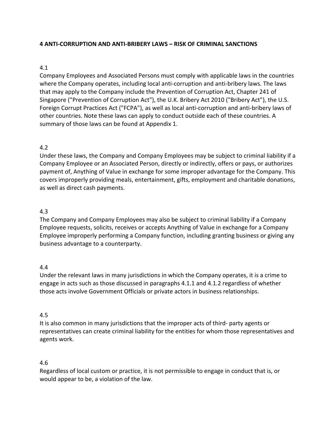# **4 ANTI-CORRUPTION AND ANTI-BRIBERY LAWS – RISK OF CRIMINAL SANCTIONS**

## 4.1

Company Employees and Associated Persons must comply with applicable laws in the countries where the Company operates, including local anti-corruption and anti-bribery laws. The laws that may apply to the Company include the Prevention of Corruption Act, Chapter 241 of Singapore ("Prevention of Corruption Act"), the U.K. Bribery Act 2010 ("Bribery Act"), the U.S. Foreign Corrupt Practices Act ("FCPA"), as well as local anti-corruption and anti-bribery laws of other countries. Note these laws can apply to conduct outside each of these countries. A summary of those laws can be found at Appendix 1.

## 4.2

Under these laws, the Company and Company Employees may be subject to criminal liability if a Company Employee or an Associated Person, directly or indirectly, offers or pays, or authorizes payment of, Anything of Value in exchange for some improper advantage for the Company. This covers improperly providing meals, entertainment, gifts, employment and charitable donations, as well as direct cash payments.

## 4.3

The Company and Company Employees may also be subject to criminal liability if a Company Employee requests, solicits, receives or accepts Anything of Value in exchange for a Company Employee improperly performing a Company function, including granting business or giving any business advantage to a counterparty.

## 4.4

Under the relevant laws in many jurisdictions in which the Company operates, it is a crime to engage in acts such as those discussed in paragraphs 4.1.1 and 4.1.2 regardless of whether those acts involve Government Officials or private actors in business relationships.

## 4.5

It is also common in many jurisdictions that the improper acts of third- party agents or representatives can create criminal liability for the entities for whom those representatives and agents work.

## 4.6

Regardless of local custom or practice, it is not permissible to engage in conduct that is, or would appear to be, a violation of the law.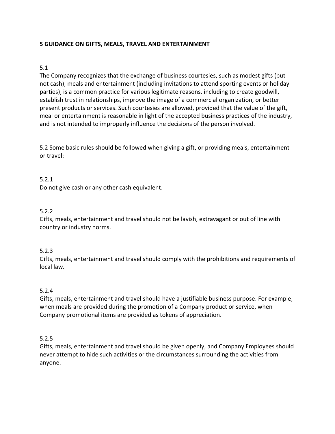# **5 GUIDANCE ON GIFTS, MEALS, TRAVEL AND ENTERTAINMENT**

## 5.1

The Company recognizes that the exchange of business courtesies, such as modest gifts (but not cash), meals and entertainment (including invitations to attend sporting events or holiday parties), is a common practice for various legitimate reasons, including to create goodwill, establish trust in relationships, improve the image of a commercial organization, or better present products or services. Such courtesies are allowed, provided that the value of the gift, meal or entertainment is reasonable in light of the accepted business practices of the industry, and is not intended to improperly influence the decisions of the person involved.

5.2 Some basic rules should be followed when giving a gift, or providing meals, entertainment or travel:

## 5.2.1

Do not give cash or any other cash equivalent.

## 5.2.2

Gifts, meals, entertainment and travel should not be lavish, extravagant or out of line with country or industry norms.

## 5.2.3

Gifts, meals, entertainment and travel should comply with the prohibitions and requirements of local law.

## 5.2.4

Gifts, meals, entertainment and travel should have a justifiable business purpose. For example, when meals are provided during the promotion of a Company product or service, when Company promotional items are provided as tokens of appreciation.

## 5.2.5

Gifts, meals, entertainment and travel should be given openly, and Company Employees should never attempt to hide such activities or the circumstances surrounding the activities from anyone.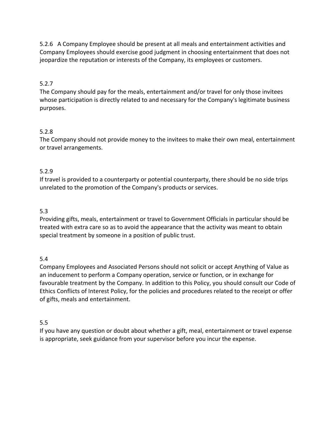5.2.6 A Company Employee should be present at all meals and entertainment activities and Company Employees should exercise good judgment in choosing entertainment that does not jeopardize the reputation or interests of the Company, its employees or customers.

# 5.2.7

The Company should pay for the meals, entertainment and/or travel for only those invitees whose participation is directly related to and necessary for the Company's legitimate business purposes.

# 5.2.8

The Company should not provide money to the invitees to make their own meal, entertainment or travel arrangements.

# 5.2.9

If travel is provided to a counterparty or potential counterparty, there should be no side trips unrelated to the promotion of the Company's products or services.

# 5.3

Providing gifts, meals, entertainment or travel to Government Officials in particular should be treated with extra care so as to avoid the appearance that the activity was meant to obtain special treatment by someone in a position of public trust.

# 5.4

Company Employees and Associated Persons should not solicit or accept Anything of Value as an inducement to perform a Company operation, service or function, or in exchange for favourable treatment by the Company. In addition to this Policy, you should consult our Code of Ethics Conflicts of Interest Policy, for the policies and procedures related to the receipt or offer of gifts, meals and entertainment.

# 5.5

If you have any question or doubt about whether a gift, meal, entertainment or travel expense is appropriate, seek guidance from your supervisor before you incur the expense.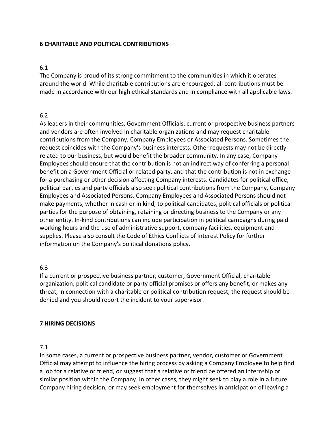## **6 CHARITABLE AND POLITICAL CONTRIBUTIONS**

## 6.1

The Company is proud of its strong commitment to the communities in which it operates around the world. While charitable contributions are encouraged, all contributions must be made in accordance with our high ethical standards and in compliance with all applicable laws.

## 6.2

As leaders in their communities, Government Officials, current or prospective business partners and vendors are often involved in charitable organizations and may request charitable contributions from the Company, Company Employees or Associated Persons. Sometimes the request coincides with the Company's business interests. Other requests may not be directly related to our business, but would benefit the broader community. In any case, Company Employees should ensure that the contribution is not an indirect way of conferring a personal benefit on a Government Official or related party, and that the contribution is not in exchange for a purchasing or other decision affecting Company interests. Candidates for political office, political parties and party officials also seek political contributions from the Company, Company Employees and Associated Persons. Company Employees and Associated Persons should not make payments, whether in cash or in kind, to political candidates, political officials or political parties for the purpose of obtaining, retaining or directing business to the Company or any other entity. In-kind contributions can include participation in political campaigns during paid working hours and the use of administrative support, company facilities, equipment and supplies. Please also consult the Code of Ethics Conflicts of Interest Policy for further information on the Company's political donations policy.

# 6.3

If a current or prospective business partner, customer, Government Official, charitable organization, political candidate or party official promises or offers any benefit, or makes any threat, in connection with a charitable or political contribution request, the request should be denied and you should report the incident to your supervisor.

## **7 HIRING DECISIONS**

# 7.1

In some cases, a current or prospective business partner, vendor, customer or Government Official may attempt to influence the hiring process by asking a Company Employee to help find a job for a relative or friend, or suggest that a relative or friend be offered an internship or similar position within the Company. In other cases, they might seek to play a role in a future Company hiring decision, or may seek employment for themselves in anticipation of leaving a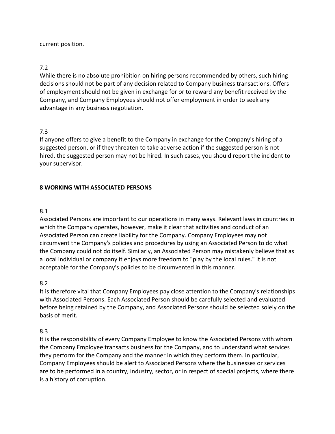## current position.

# 7.2

While there is no absolute prohibition on hiring persons recommended by others, such hiring decisions should not be part of any decision related to Company business transactions. Offers of employment should not be given in exchange for or to reward any benefit received by the Company, and Company Employees should not offer employment in order to seek any advantage in any business negotiation.

# 7.3

If anyone offers to give a benefit to the Company in exchange for the Company's hiring of a suggested person, or if they threaten to take adverse action if the suggested person is not hired, the suggested person may not be hired. In such cases, you should report the incident to your supervisor.

# **8 WORKING WITH ASSOCIATED PERSONS**

## 8.1

Associated Persons are important to our operations in many ways. Relevant laws in countries in which the Company operates, however, make it clear that activities and conduct of an Associated Person can create liability for the Company. Company Employees may not circumvent the Company's policies and procedures by using an Associated Person to do what the Company could not do itself. Similarly, an Associated Person may mistakenly believe that as a local individual or company it enjoys more freedom to "play by the local rules." It is not acceptable for the Company's policies to be circumvented in this manner.

# 8.2

It is therefore vital that Company Employees pay close attention to the Company's relationships with Associated Persons. Each Associated Person should be carefully selected and evaluated before being retained by the Company, and Associated Persons should be selected solely on the basis of merit.

# 8.3

It is the responsibility of every Company Employee to know the Associated Persons with whom the Company Employee transacts business for the Company, and to understand what services they perform for the Company and the manner in which they perform them. In particular, Company Employees should be alert to Associated Persons where the businesses or services are to be performed in a country, industry, sector, or in respect of special projects, where there is a history of corruption.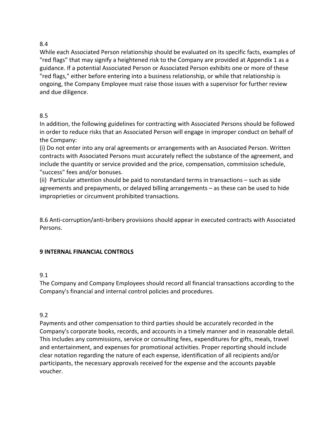# 8.4

While each Associated Person relationship should be evaluated on its specific facts, examples of "red flags" that may signify a heightened risk to the Company are provided at Appendix 1 as a guidance. If a potential Associated Person or Associated Person exhibits one or more of these "red flags," either before entering into a business relationship, or while that relationship is ongoing, the Company Employee must raise those issues with a supervisor for further review and due diligence.

# 8.5

In addition, the following guidelines for contracting with Associated Persons should be followed in order to reduce risks that an Associated Person will engage in improper conduct on behalf of the Company:

(i) Do not enter into any oral agreements or arrangements with an Associated Person. Written contracts with Associated Persons must accurately reflect the substance of the agreement, and include the quantity or service provided and the price, compensation, commission schedule, "success" fees and/or bonuses.

(ii) Particular attention should be paid to nonstandard terms in transactions – such as side agreements and prepayments, or delayed billing arrangements – as these can be used to hide improprieties or circumvent prohibited transactions.

8.6 Anti-corruption/anti-bribery provisions should appear in executed contracts with Associated Persons.

# **9 INTERNAL FINANCIAL CONTROLS**

# 9.1

The Company and Company Employees should record all financial transactions according to the Company's financial and internal control policies and procedures.

# 9.2

Payments and other compensation to third parties should be accurately recorded in the Company's corporate books, records, and accounts in a timely manner and in reasonable detail. This includes any commissions, service or consulting fees, expenditures for gifts, meals, travel and entertainment, and expenses for promotional activities. Proper reporting should include clear notation regarding the nature of each expense, identification of all recipients and/or participants, the necessary approvals received for the expense and the accounts payable voucher.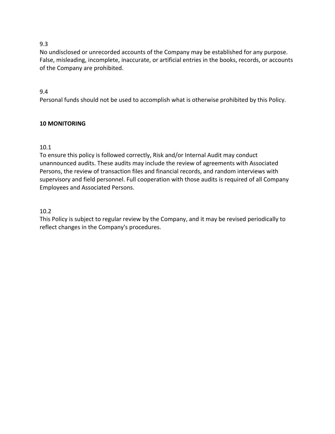# 9.3

No undisclosed or unrecorded accounts of the Company may be established for any purpose. False, misleading, incomplete, inaccurate, or artificial entries in the books, records, or accounts of the Company are prohibited.

# 9.4

Personal funds should not be used to accomplish what is otherwise prohibited by this Policy.

# **10 MONITORING**

# 10.1

To ensure this policy is followed correctly, Risk and/or Internal Audit may conduct unannounced audits. These audits may include the review of agreements with Associated Persons, the review of transaction files and financial records, and random interviews with supervisory and field personnel. Full cooperation with those audits is required of all Company Employees and Associated Persons.

# 10.2

This Policy is subject to regular review by the Company, and it may be revised periodically to reflect changes in the Company's procedures.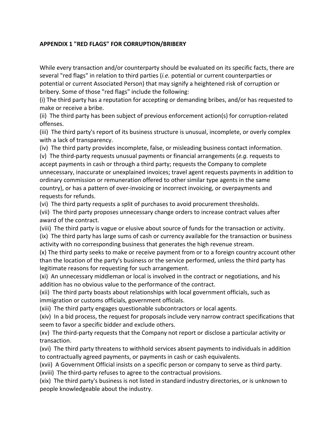# **APPENDIX 1 "RED FLAGS" FOR CORRUPTION/BRIBERY**

While every transaction and/or counterparty should be evaluated on its specific facts, there are several "red flags" in relation to third parties (*i.e.* potential or current counterparties or potential or current Associated Person) that may signify a heightened risk of corruption or bribery. Some of those "red flags" include the following:

(i) The third party has a reputation for accepting or demanding bribes, and/or has requested to make or receive a bribe.

(ii) The third party has been subject of previous enforcement action(s) for corruption-related offenses.

(iii) The third party's report of its business structure is unusual, incomplete, or overly complex with a lack of transparency.

(iv) The third party provides incomplete, false, or misleading business contact information.

(v) The third-party requests unusual payments or financial arrangements (*e.g.* requests to accept payments in cash or through a third party; requests the Company to complete unnecessary, inaccurate or unexplained invoices; travel agent requests payments in addition to ordinary commission or remuneration offered to other similar type agents in the same country), or has a pattern of over-invoicing or incorrect invoicing, or overpayments and requests for refunds.

(vi) The third party requests a split of purchases to avoid procurement thresholds.

(vii) The third party proposes unnecessary change orders to increase contract values after award of the contract.

(viii) The third party is vague or elusive about source of funds for the transaction or activity.

(ix) The third party has large sums of cash or currency available for the transaction or business activity with no corresponding business that generates the high revenue stream.

(x) The third party seeks to make or receive payment from or to a foreign country account other than the location of the party's business or the service performed, unless the third party has legitimate reasons for requesting for such arrangement.

(xi) An unnecessary middleman or local is involved in the contract or negotiations, and his addition has no obvious value to the performance of the contract.

(xii) The third party boasts about relationships with local government officials, such as immigration or customs officials, government officials.

(xiii) The third party engages questionable subcontractors or local agents.

(xiv) In a bid process, the request for proposals include very narrow contract specifications that seem to favor a specific bidder and exclude others.

(xv) The third-party requests that the Company not report or disclose a particular activity or transaction.

(xvi) The third party threatens to withhold services absent payments to individuals in addition to contractually agreed payments, or payments in cash or cash equivalents.

(xvii) A Government Official insists on a specific person or company to serve as third party. (xviii) The third-party refuses to agree to the contractual provisions.

(xix) The third party's business is not listed in standard industry directories, or is unknown to people knowledgeable about the industry.